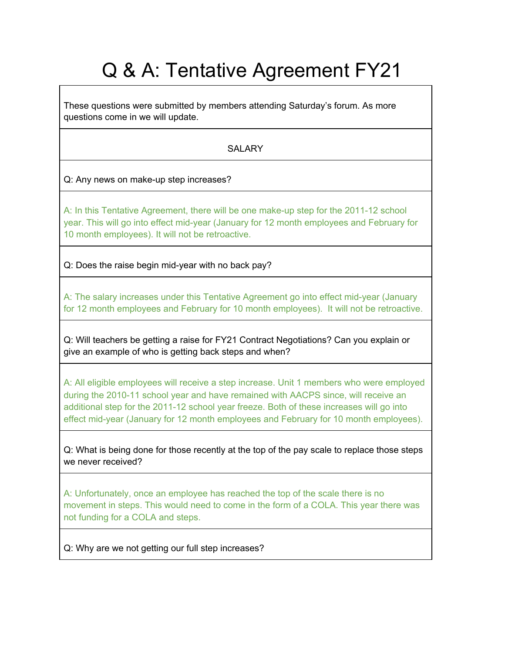# Q & A: Tentative Agreement FY21

These questions were submitted by members attending Saturday's forum. As more questions come in we will update.

# **SALARY**

Q: Any news on make-up step increases?

A: In this Tentative Agreement, there will be one make-up step for the 2011-12 school year. This will go into effect mid-year (January for 12 month employees and February for 10 month employees). It will not be retroactive.

Q: Does the raise begin mid-year with no back pay?

A: The salary increases under this Tentative Agreement go into effect mid-year (January for 12 month employees and February for 10 month employees). It will not be retroactive.

Q: Will teachers be getting a raise for FY21 Contract Negotiations? Can you explain or give an example of who is getting back steps and when?

A: All eligible employees will receive a step increase. Unit 1 members who were employed during the 2010-11 school year and have remained with AACPS since, will receive an additional step for the 2011-12 school year freeze. Both of these increases will go into effect mid-year (January for 12 month employees and February for 10 month employees).

Q: What is being done for those recently at the top of the pay scale to replace those steps we never received?

A: Unfortunately, once an employee has reached the top of the scale there is no movement in steps. This would need to come in the form of a COLA. This year there was not funding for a COLA and steps.

Q: Why are we not getting our full step increases?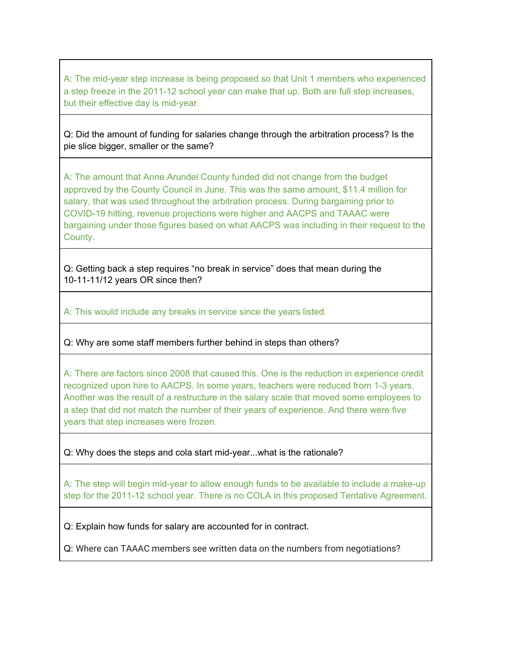A: The mid-year step increase is being proposed so that Unit 1 members who experienced a step freeze in the 2011-12 school year can make that up. Both are full step increases, but their effective day is mid-year.

Q: Did the amount of funding for salaries change through the arbitration process? Is the pie slice bigger, smaller or the same?

A: The amount that Anne Arundel County funded did not change from the budget approved by the County Council in June. This was the same amount, \$11.4 million for salary, that was used throughout the arbitration process. During bargaining prior to COVID-19 hitting, revenue projections were higher and AACPS and TAAAC were bargaining under those figures based on what AACPS was including in their request to the County.

Q: Getting back a step requires "no break in service" does that mean during the 10-11-11/12 years OR since then?

A: This would include any breaks in service since the years listed.

Q: Why are some staff members further behind in steps than others?

A: There are factors since 2008 that caused this. One is the reduction in experience credit recognized upon hire to AACPS. In some years, teachers were reduced from 1-3 years. Another was the result of a restructure in the salary scale that moved some employees to a step that did not match the number of their years of experience. And there were five years that step increases were frozen.

Q: Why does the steps and cola start mid-year...what is the rationale?

A: The step will begin mid-year to allow enough funds to be available to include a make-up step for the 2011-12 school year. There is no COLA in this proposed Tentative Agreement.

Q: Explain how funds for salary are accounted for in contract.

Q: Where can TAAAC members see written data on the numbers from negotiations?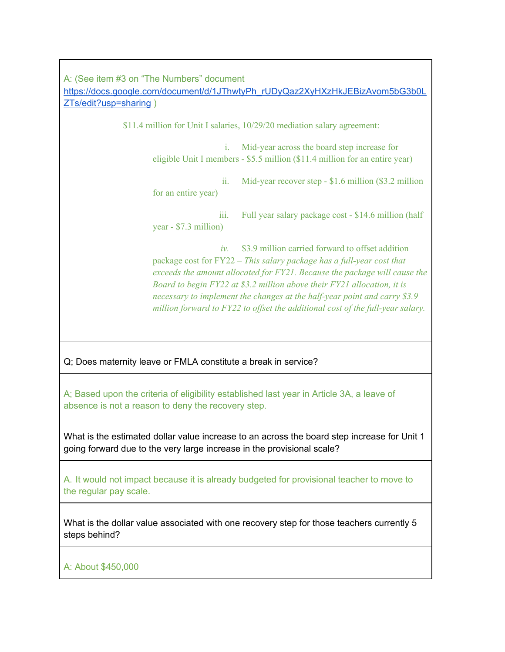A: (See item #3 on "The Numbers" document [https://docs.google.com/document/d/1JThwtyPh\\_rUDyQaz2XyHXzHkJEBizAvom5bG3b0L](https://docs.google.com/document/d/1JThwtyPh_rUDyQaz2XyHXzHkJEBizAvom5bG3b0LZTs/edit?usp=sharing) [ZTs/edit?usp=sharing](https://docs.google.com/document/d/1JThwtyPh_rUDyQaz2XyHXzHkJEBizAvom5bG3b0LZTs/edit?usp=sharing) )

\$11.4 million for Unit I salaries, 10/29/20 mediation salary agreement:

i. Mid-year across the board step increase for eligible Unit I members - \$5.5 million (\$11.4 million for an entire year)

ii. Mid-year recover step - \$1.6 million (\$3.2 million for an entire year)

iii. Full year salary package cost - \$14.6 million (half year - \$7.3 million)

*iv.* \$3.9 million carried forward to offset addition package cost for FY22 – *This salary package has a full-year cost that exceeds the amount allocated for FY21. Because the package will cause the Board to begin FY22 at \$3.2 million above their FY21 allocation, it is necessary to implement the changes at the half-year point and carry \$3.9 million forward to FY22 to of set the additional cost of the full-year salary.*

Q; Does maternity leave or FMLA constitute a break in service?

A; Based upon the criteria of eligibility established last year in Article 3A, a leave of absence is not a reason to deny the recovery step.

What is the estimated dollar value increase to an across the board step increase for Unit 1 going forward due to the very large increase in the provisional scale?

A. It would not impact because it is already budgeted for provisional teacher to move to the regular pay scale.

What is the dollar value associated with one recovery step for those teachers currently 5 steps behind?

A: About \$450,000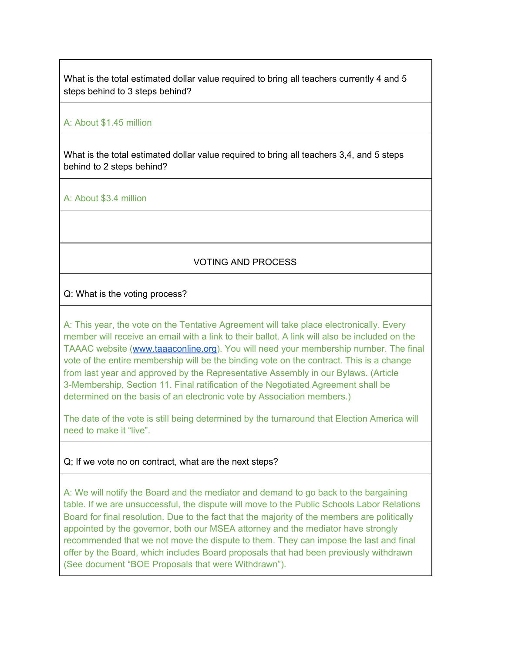What is the total estimated dollar value required to bring all teachers currently 4 and 5 steps behind to 3 steps behind?

#### A: About \$1.45 million

What is the total estimated dollar value required to bring all teachers 3,4, and 5 steps behind to 2 steps behind?

A: About \$3.4 million

## VOTING AND PROCESS

#### Q: What is the voting process?

A: This year, the vote on the Tentative Agreement will take place electronically. Every member will receive an email with a link to their ballot. A link will also be included on the TAAAC website ([www.taaaconline.org\)](http://www.taaaconline.org/). You will need your membership number. The final vote of the entire membership will be the binding vote on the contract. This is a change from last year and approved by the Representative Assembly in our Bylaws. (Article 3-Membership, Section 11. Final ratification of the Negotiated Agreement shall be determined on the basis of an electronic vote by Association members.)

The date of the vote is still being determined by the turnaround that Election America will need to make it "live".

### Q; If we vote no on contract, what are the next steps?

A: We will notify the Board and the mediator and demand to go back to the bargaining table. If we are unsuccessful, the dispute will move to the Public Schools Labor Relations Board for final resolution. Due to the fact that the majority of the members are politically appointed by the governor, both our MSEA attorney and the mediator have strongly recommended that we not move the dispute to them. They can impose the last and final offer by the Board, which includes Board proposals that had been previously withdrawn (See document "BOE Proposals that were Withdrawn").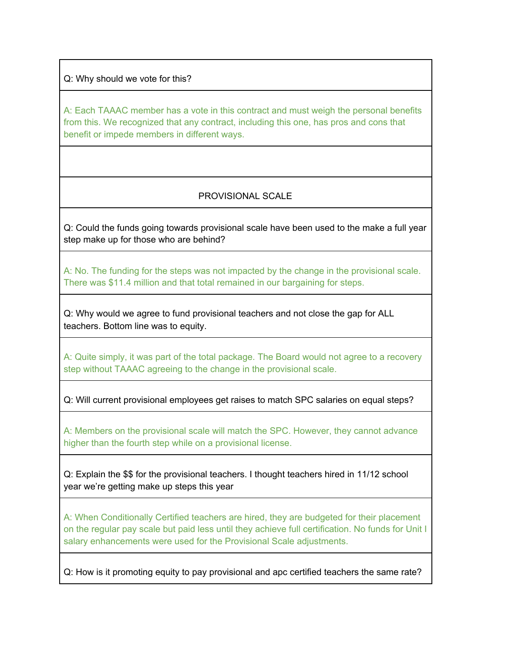Q: Why should we vote for this?

A: Each TAAAC member has a vote in this contract and must weigh the personal benefits from this. We recognized that any contract, including this one, has pros and cons that benefit or impede members in different ways.

## PROVISIONAL SCALE

Q: Could the funds going towards provisional scale have been used to the make a full year step make up for those who are behind?

A: No. The funding for the steps was not impacted by the change in the provisional scale. There was \$11.4 million and that total remained in our bargaining for steps.

Q: Why would we agree to fund provisional teachers and not close the gap for ALL teachers. Bottom line was to equity.

A: Quite simply, it was part of the total package. The Board would not agree to a recovery step without TAAAC agreeing to the change in the provisional scale.

Q: Will current provisional employees get raises to match SPC salaries on equal steps?

A: Members on the provisional scale will match the SPC. However, they cannot advance higher than the fourth step while on a provisional license.

Q: Explain the \$\$ for the provisional teachers. I thought teachers hired in 11/12 school year we're getting make up steps this year

A: When Conditionally Certified teachers are hired, they are budgeted for their placement on the regular pay scale but paid less until they achieve full certification. No funds for Unit I salary enhancements were used for the Provisional Scale adjustments.

Q: How is it promoting equity to pay provisional and apc certified teachers the same rate?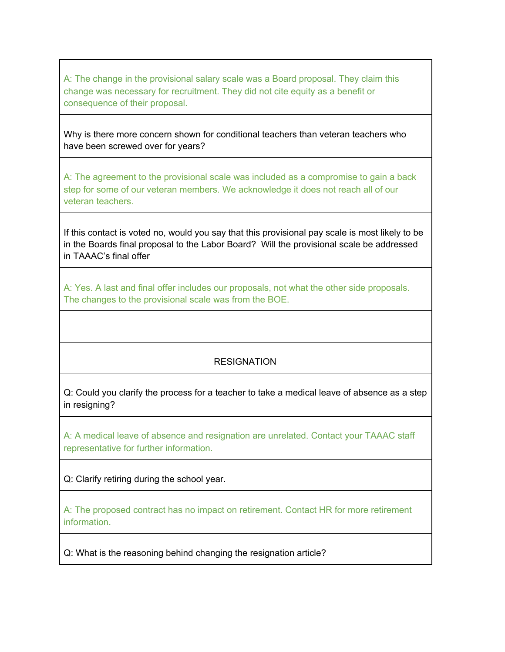A: The change in the provisional salary scale was a Board proposal. They claim this change was necessary for recruitment. They did not cite equity as a benefit or consequence of their proposal.

Why is there more concern shown for conditional teachers than veteran teachers who have been screwed over for years?

A: The agreement to the provisional scale was included as a compromise to gain a back step for some of our veteran members. We acknowledge it does not reach all of our veteran teachers.

If this contact is voted no, would you say that this provisional pay scale is most likely to be in the Boards final proposal to the Labor Board? Will the provisional scale be addressed in TAAAC's final offer

A: Yes. A last and final offer includes our proposals, not what the other side proposals. The changes to the provisional scale was from the BOE.

# **RESIGNATION**

Q: Could you clarify the process for a teacher to take a medical leave of absence as a step in resigning?

A: A medical leave of absence and resignation are unrelated. Contact your TAAAC staff representative for further information.

Q: Clarify retiring during the school year.

A: The proposed contract has no impact on retirement. Contact HR for more retirement information.

Q: What is the reasoning behind changing the resignation article?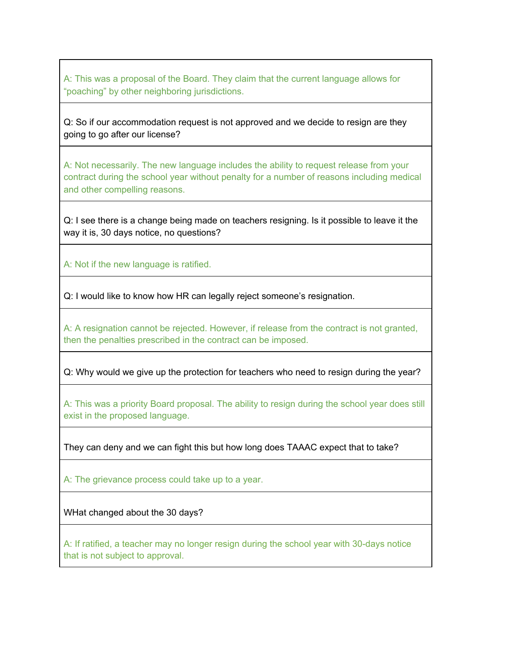A: This was a proposal of the Board. They claim that the current language allows for "poaching" by other neighboring jurisdictions.

Q: So if our accommodation request is not approved and we decide to resign are they going to go after our license?

A: Not necessarily. The new language includes the ability to request release from your contract during the school year without penalty for a number of reasons including medical and other compelling reasons.

Q: I see there is a change being made on teachers resigning. Is it possible to leave it the way it is, 30 days notice, no questions?

A: Not if the new language is ratified.

Q: I would like to know how HR can legally reject someone's resignation.

A: A resignation cannot be rejected. However, if release from the contract is not granted, then the penalties prescribed in the contract can be imposed.

Q: Why would we give up the protection for teachers who need to resign during the year?

A: This was a priority Board proposal. The ability to resign during the school year does still exist in the proposed language.

They can deny and we can fight this but how long does TAAAC expect that to take?

A: The grievance process could take up to a year.

WHat changed about the 30 days?

A: If ratified, a teacher may no longer resign during the school year with 30-days notice that is not subject to approval.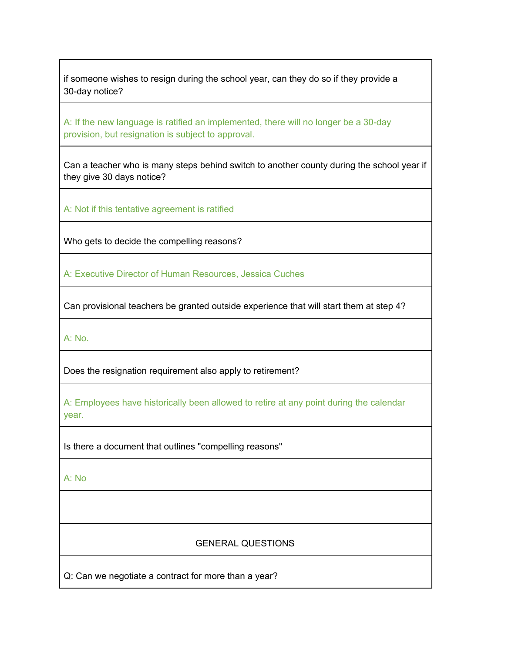if someone wishes to resign during the school year, can they do so if they provide a 30-day notice?

A: If the new language is ratified an implemented, there will no longer be a 30-day provision, but resignation is subject to approval.

Can a teacher who is many steps behind switch to another county during the school year if they give 30 days notice?

A: Not if this tentative agreement is ratified

Who gets to decide the compelling reasons?

A: Executive Director of Human Resources, Jessica Cuches

Can provisional teachers be granted outside experience that will start them at step 4?

A: No.

Does the resignation requirement also apply to retirement?

A: Employees have historically been allowed to retire at any point during the calendar year.

Is there a document that outlines "compelling reasons"

A: No

## GENERAL QUESTIONS

Q: Can we negotiate a contract for more than a year?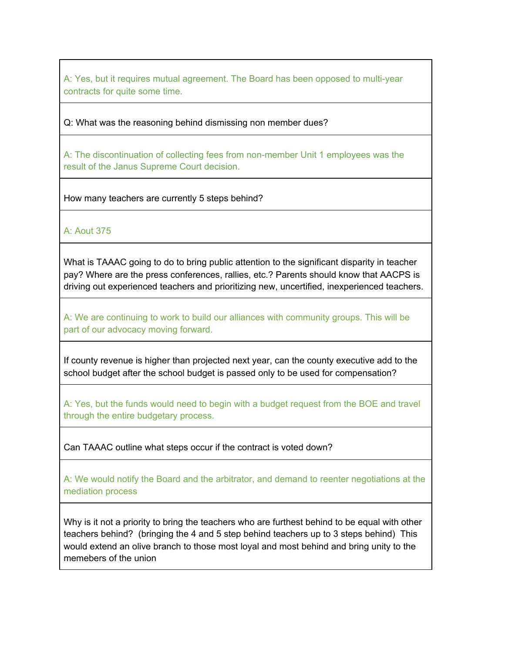A: Yes, but it requires mutual agreement. The Board has been opposed to multi-year contracts for quite some time.

Q: What was the reasoning behind dismissing non member dues?

A: The discontinuation of collecting fees from non-member Unit 1 employees was the result of the Janus Supreme Court decision.

How many teachers are currently 5 steps behind?

A: Aout 375

What is TAAAC going to do to bring public attention to the significant disparity in teacher pay? Where are the press conferences, rallies, etc.? Parents should know that AACPS is driving out experienced teachers and prioritizing new, uncertified, inexperienced teachers.

A: We are continuing to work to build our alliances with community groups. This will be part of our advocacy moving forward.

If county revenue is higher than projected next year, can the county executive add to the school budget after the school budget is passed only to be used for compensation?

A: Yes, but the funds would need to begin with a budget request from the BOE and travel through the entire budgetary process.

Can TAAAC outline what steps occur if the contract is voted down?

A: We would notify the Board and the arbitrator, and demand to reenter negotiations at the mediation process

Why is it not a priority to bring the teachers who are furthest behind to be equal with other teachers behind? (bringing the 4 and 5 step behind teachers up to 3 steps behind) This would extend an olive branch to those most loyal and most behind and bring unity to the memebers of the union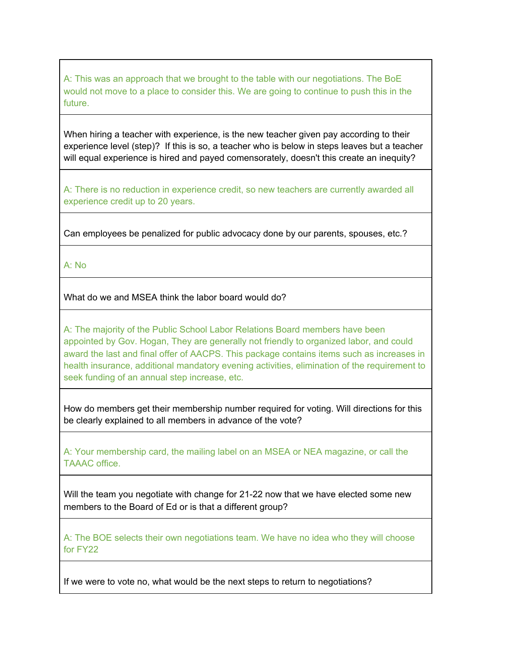A: This was an approach that we brought to the table with our negotiations. The BoE would not move to a place to consider this. We are going to continue to push this in the future.

When hiring a teacher with experience, is the new teacher given pay according to their experience level (step)? If this is so, a teacher who is below in steps leaves but a teacher will equal experience is hired and payed comensorately, doesn't this create an inequity?

A: There is no reduction in experience credit, so new teachers are currently awarded all experience credit up to 20 years.

Can employees be penalized for public advocacy done by our parents, spouses, etc.?

A: No

What do we and MSEA think the labor board would do?

A: The majority of the Public School Labor Relations Board members have been appointed by Gov. Hogan, They are generally not friendly to organized labor, and could award the last and final offer of AACPS. This package contains items such as increases in health insurance, additional mandatory evening activities, elimination of the requirement to seek funding of an annual step increase, etc.

How do members get their membership number required for voting. Will directions for this be clearly explained to all members in advance of the vote?

A: Your membership card, the mailing label on an MSEA or NEA magazine, or call the TAAAC office.

Will the team you negotiate with change for 21-22 now that we have elected some new members to the Board of Ed or is that a different group?

A: The BOE selects their own negotiations team. We have no idea who they will choose for FY22

If we were to vote no, what would be the next steps to return to negotiations?